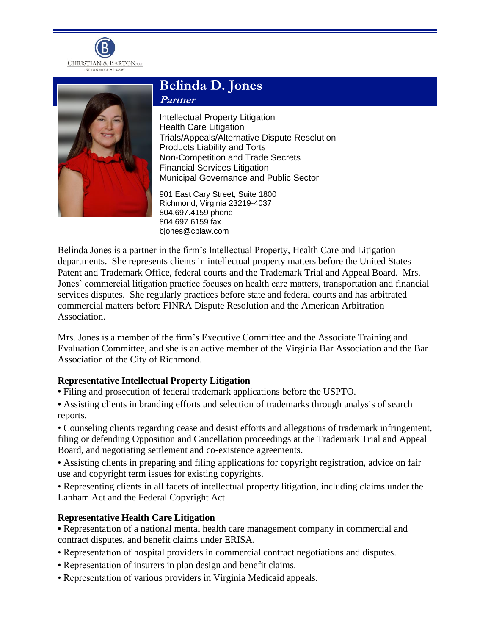



# **Belinda D. Jones Partner**

Intellectual Property Litigation Health Care Litigation Trials/Appeals/Alternative Dispute Resolution Products Liability and Torts Non-Competition and Trade Secrets Financial Services Litigation Municipal Governance and Public Sector

901 East Cary Street, Suite 1800 Richmond, Virginia 23219-4037 804.697.4159 phone 804.697.6159 fax bjones@cblaw.com

Belinda Jones is a partner in the firm's Intellectual Property, Health Care and Litigation departments. She represents clients in intellectual property matters before the United States Patent and Trademark Office, federal courts and the Trademark Trial and Appeal Board. Mrs. Jones' commercial litigation practice focuses on health care matters, transportation and financial services disputes. She regularly practices before state and federal courts and has arbitrated commercial matters before FINRA Dispute Resolution and the American Arbitration Association.

Mrs. Jones is a member of the firm's Executive Committee and the Associate Training and Evaluation Committee, and she is an active member of the Virginia Bar Association and the Bar Association of the City of Richmond.

# **Representative Intellectual Property Litigation**

**•** Filing and prosecution of federal trademark applications before the USPTO.

**•** Assisting clients in branding efforts and selection of trademarks through analysis of search reports.

• Counseling clients regarding cease and desist efforts and allegations of trademark infringement, filing or defending Opposition and Cancellation proceedings at the Trademark Trial and Appeal Board, and negotiating settlement and co-existence agreements.

• Assisting clients in preparing and filing applications for copyright registration, advice on fair use and copyright term issues for existing copyrights.

• Representing clients in all facets of intellectual property litigation, including claims under the Lanham Act and the Federal Copyright Act.

# **Representative Health Care Litigation**

**•** Representation of a national mental health care management company in commercial and contract disputes, and benefit claims under ERISA.

- Representation of hospital providers in commercial contract negotiations and disputes.
- Representation of insurers in plan design and benefit claims.
- Representation of various providers in Virginia Medicaid appeals.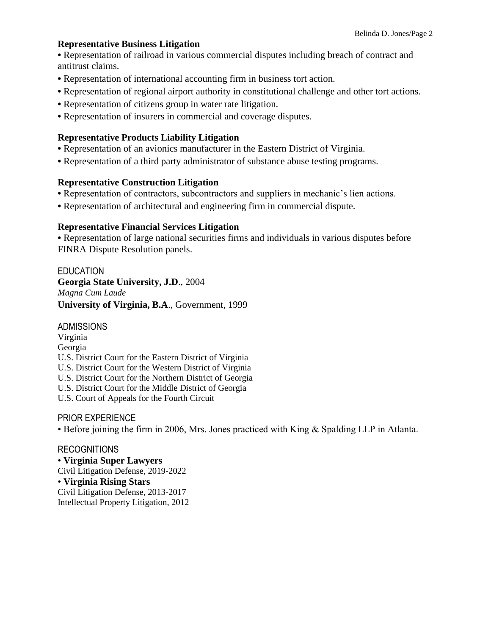#### **Representative Business Litigation**

**•** Representation of railroad in various commercial disputes including breach of contract and antitrust claims.

- **•** Representation of international accounting firm in business tort action.
- **•** Representation of regional airport authority in constitutional challenge and other tort actions.
- **•** Representation of citizens group in water rate litigation.
- **•** Representation of insurers in commercial and coverage disputes.

## **Representative Products Liability Litigation**

- **•** Representation of an avionics manufacturer in the Eastern District of Virginia.
- **•** Representation of a third party administrator of substance abuse testing programs.

## **Representative Construction Litigation**

- **•** Representation of contractors, subcontractors and suppliers in mechanic's lien actions.
- **•** Representation of architectural and engineering firm in commercial dispute.

## **Representative Financial Services Litigation**

**•** Representation of large national securities firms and individuals in various disputes before FINRA Dispute Resolution panels.

## EDUCATION **Georgia State University, J.D**., 2004 *Magna Cum Laude* **University of Virginia, B.A**., Government, 1999

ADMISSIONS

Virginia Georgia U.S. District Court for the Eastern District of Virginia U.S. District Court for the Western District of Virginia U.S. District Court for the Northern District of Georgia U.S. District Court for the Middle District of Georgia U.S. Court of Appeals for the Fourth Circuit

PRIOR EXPERIENCE

• Before joining the firm in 2006, Mrs. Jones practiced with King & Spalding LLP in Atlanta.

## RECOGNITIONS

• **Virginia Super Lawyers** Civil Litigation Defense, 2019-2022 • **Virginia Rising Stars** Civil Litigation Defense, 2013-2017 Intellectual Property Litigation, 2012